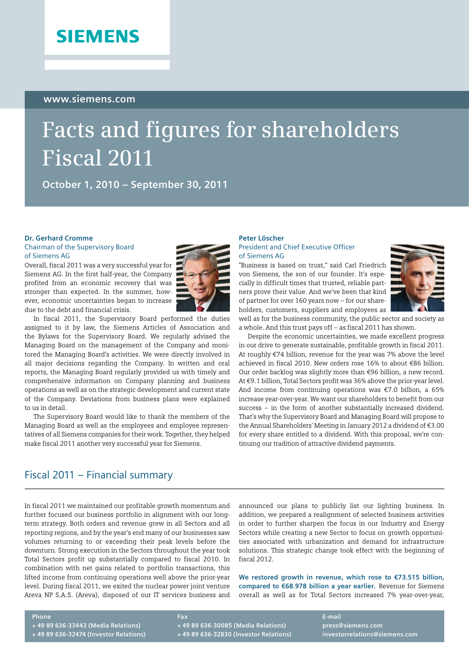## **SIEMENS**

#### **www.siemens.com**

# **Facts and figures for shareholders Fiscal 2011**

**October 1, 2010 – September 30, 2011**

#### **Dr. Gerhard Cromme**

#### Chairman of the Supervisory Board of Siemens AG

Overall, fiscal 2011 was a very successful year for Siemens AG. In the first half-year, the Company profited from an economic recovery that was stronger than expected. In the summer, however, economic uncertainties began to increase due to the debt and financial crisis.



In fiscal 2011, the Supervisory Board performed the duties assigned to it by law, the Siemens Articles of Association and the Bylaws for the Supervisory Board. We regularly advised the Managing Board on the management of the Company and monitored the Managing Board's activities. We were directly involved in all major decisions regarding the Company. In written and oral reports, the Managing Board regularly provided us with timely and comprehensive information on Company planning and business operations as well as on the strategic development and current state of the Company. Deviations from business plans were explained to us in detail.

The Supervisory Board would like to thank the members of the Managing Board as well as the employees and employee representatives of all Siemens companies for their work. Together, they helped make fiscal 2011 another very successful year for Siemens.

### Fiscal 2011 – Financial summary

In fiscal 2011 we maintained our profitable growth momentum and further focused our business portfolio in alignment with our longterm strategy. Both orders and revenue grew in all Sectors and all reporting regions, and by the year's end many of our businesses saw volumes returning to or exceeding their peak levels before the downturn. Strong execution in the Sectors throughout the year took Total Sectors profit up substantially compared to fiscal 2010. In combination with net gains related to portfolio transactions, this lifted income from continuing operations well above the prior-year level. During fiscal 2011, we exited the nuclear power joint venture Areva NP S.A.S. (Areva), disposed of our IT services business and

#### **Peter Löscher**  President and Chief Executive Officer of Siemens AG

"Business is based on trust," said Carl Friedrich von Siemens, the son of our founder. It's especially in difficult times that trusted, reliable partners prove their value. And we've been that kind of partner for over 160 years now – for our shareholders, customers, suppliers and employees as



well as for the business community, the public sector and society as a whole. And this trust pays off – as fiscal 2011 has shown.

Despite the economic uncertainties, we made excellent progress in our drive to generate sustainable, profitable growth in fiscal 2011. At roughly €74 billion, revenue for the year was 7% above the level achieved in fiscal 2010. New orders rose 16% to about €86 billion. Our order backlog was slightly more than €96 billion, a new record. At €9.1 billion, Total Sectors profit was 36% above the prior-year level. And income from continuing operations was €7.0 billion, a 65% increase year-over-year. We want our shareholders to benefit from our success – in the form of another substantially increased dividend. That's why the Supervisory Board and Managing Board will propose to the Annual Shareholders' Meeting in January 2012 a dividend of €3.00 for every share entitled to a dividend. With this proposal, we're continuing our tradition of attractive dividend payments.

announced our plans to publicly list our lighting business. In addition, we prepared a realignment of selected business activities in order to further sharpen the focus in our Industry and Energy Sectors while creating a new Sector to focus on growth opportunities associated with urbanization and demand for infrastructure solutions. This strategic change took effect with the beginning of fiscal 2012.

**We restored growth in revenue, which rose to €73.515 billion, compared to €68.978 billion a year earlier.** Revenue for Siemens overall as well as for Total Sectors increased 7% year-over-year,

#### **Phone**

**+ 49 89 636-33443 (Media Relations) + 49 89 636-32474 (Investor Relations)** **Fax + 49 89 636-30085 (Media Relations) + 49 89 636-32830 (Investor Relations)** **E-mail press@siemens.com investorrelations@siemens.com**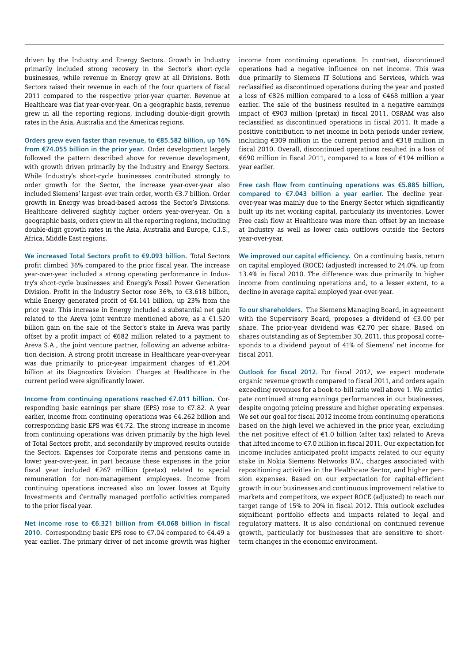driven by the Industry and Energy Sectors. Growth in Industry primarily included strong recovery in the Sector's short-cycle businesses, while revenue in Energy grew at all Divisions. Both Sectors raised their revenue in each of the four quarters of fiscal 2011 compared to the respective prior-year quarter. Revenue at Healthcare was flat year-over-year. On a geographic basis, revenue grew in all the reporting regions, including double-digit growth rates in the Asia, Australia and the Americas regions.

**Orders grew even faster than revenue, to €85.582 billion, up 16% from €74.055 billion in the prior year.** Order development largely followed the pattern described above for revenue development, with growth driven primarily by the Industry and Energy Sectors. While Industry's short-cycle businesses contributed strongly to order growth for the Sector, the increase year-over-year also included Siemens' largest-ever train order, worth €3.7 billion. Order growth in Energy was broad-based across the Sector's Divisions. Healthcare delivered slightly higher orders year-over-year. On a geographic basis, orders grew in all the reporting regions, including double-digit growth rates in the Asia, Australia and Europe, C.I.S., Africa, Middle East regions.

**We increased Total Sectors profit to €9.093 billion.** Total Sectors profit climbed 36% compared to the prior fiscal year. The increase year-over-year included a strong operating performance in Industry's short-cycle businesses and Energy's Fossil Power Generation Division. Profit in the Industry Sector rose 36%, to €3.618 billion, while Energy generated profit of €4.141 billion, up 23% from the prior year. This increase in Energy included a substantial net gain related to the Areva joint venture mentioned above, as a  $€1.520$ billion gain on the sale of the Sector's stake in Areva was partly offset by a profit impact of €682 million related to a payment to Areva S.A., the joint venture partner, following an adverse arbitration decision. A strong profit increase in Healthcare year-over-year was due primarily to prior-year impairment charges of €1.204 billion at its Diagnostics Division. Charges at Healthcare in the current period were significantly lower.

**Income from continuing operations reached €7.011 billion.** Corresponding basic earnings per share (EPS) rose to €7.82. A year earlier, income from continuing operations was €4.262 billion and corresponding basic EPS was €4.72. The strong increase in income from continuing operations was driven primarily by the high level of Total Sectors profit, and secondarily by improved results outside the Sectors. Expenses for Corporate items and pensions came in lower year-over-year, in part because these expenses in the prior fiscal year included €267 million (pretax) related to special remuneration for non-management employees. Income from continuing operations increased also on lower losses at Equity Investments and Centrally managed portfolio activities compared to the prior fiscal year.

**Net income rose to €6.321 billion from €4.068 billion in fiscal 2010.** Corresponding basic EPS rose to €7.04 compared to €4.49 a year earlier. The primary driver of net income growth was higher income from continuing operations. In contrast, discontinued operations had a negative influence on net income. This was due primarily to Siemens IT Solutions and Services, which was reclassified as discontinued operations during the year and posted a loss of €826 million compared to a loss of €468 million a year earlier. The sale of the business resulted in a negative earnings impact of €903 million (pretax) in fiscal 2011. OSRAM was also reclassified as discontinued operations in fiscal 2011. It made a positive contribution to net income in both periods under review, including €309 million in the current period and €318 million in fiscal 2010. Overall, discontinued operations resulted in a loss of €690 million in fiscal 2011, compared to a loss of €194 million a year earlier.

**Free cash flow from continuing operations was €5.885 billion, compared to €7.043 billion a year earlier.** The decline yearover-year was mainly due to the Energy Sector which significantly built up its net working capital, particularly its inventories. Lower Free cash flow at Healthcare was more than offset by an increase at Industry as well as lower cash outflows outside the Sectors year-over-year.

**We improved our capital efficiency.** On a continuing basis, return on capital employed (ROCE) (adjusted) increased to 24.0%, up from 13.4% in fiscal 2010. The difference was due primarily to higher income from continuing operations and, to a lesser extent, to a decline in average capital employed year-over-year.

**To our shareholders.** The Siemens Managing Board, in agreement with the Supervisory Board, proposes a dividend of €3.00 per share. The prior-year dividend was €2.70 per share. Based on shares outstanding as of September 30, 2011, this proposal corresponds to a dividend payout of 41% of Siemens' net income for fiscal 2011.

**Outlook for fiscal 2012.** For fiscal 2012, we expect moderate organic revenue growth compared to fiscal 2011, and orders again exceeding revenues for a book-to-bill ratio well above 1. We anticipate continued strong earnings performances in our businesses, despite ongoing pricing pressure and higher operating expenses. We set our goal for fiscal 2012 income from continuing operations based on the high level we achieved in the prior year, excluding the net positive effect of  $\epsilon$ 1.0 billion (after tax) related to Areva that lifted income to €7.0 billion in fiscal 2011. Our expectation for income includes anticipated profit impacts related to our equity stake in Nokia Siemens Networks B.V., charges associated with repositioning activities in the Healthcare Sector, and higher pension expenses. Based on our expectation for capital-efficient growth in our businesses and continuous improvement relative to markets and competitors, we expect ROCE (adjusted) to reach our target range of 15% to 20% in fiscal 2012. This outlook excludes significant portfolio effects and impacts related to legal and regulatory matters. It is also conditional on continued revenue growth, particularly for businesses that are sensitive to shortterm changes in the economic environment.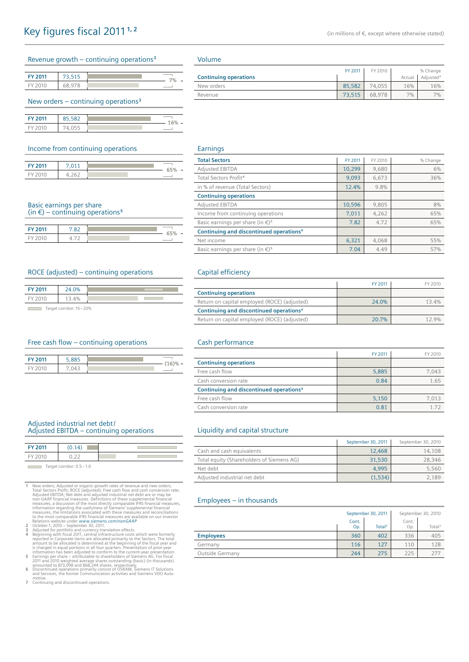|  | Revenue growth – continuing operations <sup>3</sup> |
|--|-----------------------------------------------------|
|  |                                                     |

| FY 2011<br>2 E |    |
|----------------|----|
| EV             | 70 |

#### New orders – continuing operations**<sup>3</sup>**

| <b>EV 2011</b> |     | ۳        |
|----------------|-----|----------|
|                | . . | U<br>a s |

#### Income from continuing operations

| <b>EV 2011</b> |   | ۰ |
|----------------|---|---|
|                | ۰ |   |

#### Basic earnings per share

 $(in \in)$  – continuing operations<sup>5</sup>

| <b>EV 2011</b> | $\circ$ |   |
|----------------|---------|---|
| <b>EV</b>      |         | - |

#### ROCE (adjusted) – continuing operations

| <b>FY 2011</b>      | 0% |  |  |  |
|---------------------|----|--|--|--|
| EV 201              |    |  |  |  |
| $\tau$ . It are now |    |  |  |  |

Target corridor: 15-20%

#### Free cash flow – continuing operations

| <b>EV 2011</b> |    |           |
|----------------|----|-----------|
|                | -- | s en<br>v |

#### Adjusted industrial net debt/ Adjusted EBITDA – continuing operations

| <b>FY 2011</b> | (0.14)             |  |
|----------------|--------------------|--|
| <b>EY 2010</b> |                    |  |
| $\sim$         | $\sim$ $\sim$<br>. |  |

Target corridor: 0.5-1.0

1 New orders; Adjusted or organic growth rates of revenue and new orders; And Scettors Profit; ROCE (adjusted); Free cash flow and cash conversion rate; Adjusted EBITDA; Net debt and adjusted industrial net able are or may

- 
- 
- 
- **7** Continuing and discontinued operations.

#### Volume

|                              | FY 2011 | FY 2010 |        | % Change              |
|------------------------------|---------|---------|--------|-----------------------|
| <b>Continuing operations</b> |         |         | Actual | Adiusted <sup>3</sup> |
| New orders                   | 85,582  | 74.055  | 16%    | 16%                   |
| Revenue                      | 73.515  | 68,978  | 7%     | 7%                    |

#### Earnings

| <b>Total Sectors</b>                                   | FY 2011 | FY 2010 | % Change |
|--------------------------------------------------------|---------|---------|----------|
| Adjusted EBITDA                                        | 10.299  | 9.680   | 6%       |
| Total Sectors Profit <sup>4</sup>                      | 9.093   | 6.673   | 36%      |
| in % of revenue (Total Sectors)                        | 12.4%   | 9.8%    |          |
| <b>Continuing operations</b>                           |         |         |          |
| <b>Adjusted EBITDA</b>                                 | 10,596  | 9,805   | 8%       |
| Income from continuing operations                      | 7.011   | 4.262   | 65%      |
| Basic earnings per share (in $\epsilon$ ) <sup>5</sup> | 7.82    | 4.72    | 65%      |
| Continuing and discontinued operations <sup>6</sup>    |         |         |          |
| Net income                                             | 6,321   | 4.068   | 55%      |
| Basic earnings per share (in $\epsilon$ ) <sup>5</sup> | 7.04    | 4.49    | 57%      |

#### Capital efficiency

|                                                     | FY 2011 | FY 2010 |
|-----------------------------------------------------|---------|---------|
| <b>Continuing operations</b>                        |         |         |
| Return on capital employed (ROCE) (adjusted)        | 24.0%   | 13.4%   |
| Continuing and discontinued operations <sup>6</sup> |         |         |
| Return on capital employed (ROCE) (adjusted)        | 20.7%   | 129%    |

#### Cash performance

|                                                     | FY 2011 | FY 2010 |
|-----------------------------------------------------|---------|---------|
| <b>Continuing operations</b>                        |         |         |
| Free cash flow                                      | 5,885   | 7.043   |
| Cash conversion rate                                | 0.84    | 1.65    |
| Continuing and discontinued operations <sup>6</sup> |         |         |
| Free cash flow                                      | 5,150   | 7.013   |
| Cash conversion rate                                | 0.81    | 172     |

#### Liquidity and capital structure

|                                           | September 30, 2011 | September 30, 2010 |
|-------------------------------------------|--------------------|--------------------|
| Cash and cash equivalents                 | 12.468             | 14,108             |
| Total equity (Shareholders of Siemens AG) | 31,530             | 28,346             |
| Net debt                                  | 4.995              | 5,560              |
| Adjusted industrial net debt              | (1.534)            | 2.189              |

#### Employees – in thousands

|                  | September 30, 2011 |                    | September 30, 2010 |                    |
|------------------|--------------------|--------------------|--------------------|--------------------|
|                  | Cont.<br>Op.       | Total <sup>7</sup> | Cont.<br>Op.       | Total <sup>7</sup> |
| <b>Employees</b> | 360                | 402                | 336                | 405                |
| Germany          | 116                | 127                | 110                | 128                |
| Outside Germany  | 244                | 275                | 225                | 277                |